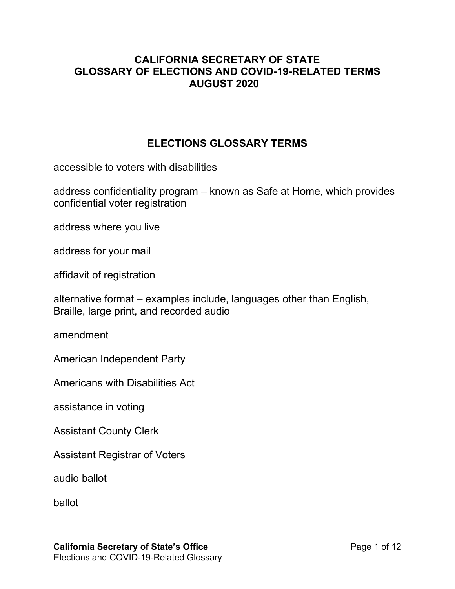## **CALIFORNIA SECRETARY OF STATE GLOSSARY OF ELECTIONS AND COVID-19-RELATED TERMS AUGUST 2020**

## **ELECTIONS GLOSSARY TERMS**

accessible to voters with disabilities

address confidentiality program – known as Safe at Home, which provides confidential voter registration

address where you live

address for your mail

affidavit of registration

alternative format – examples include, languages other than English, Braille, large print, and recorded audio

amendment

American Independent Party

Americans with Disabilities Act

assistance in voting

Assistant County Clerk

Assistant Registrar of Voters

audio ballot

ballot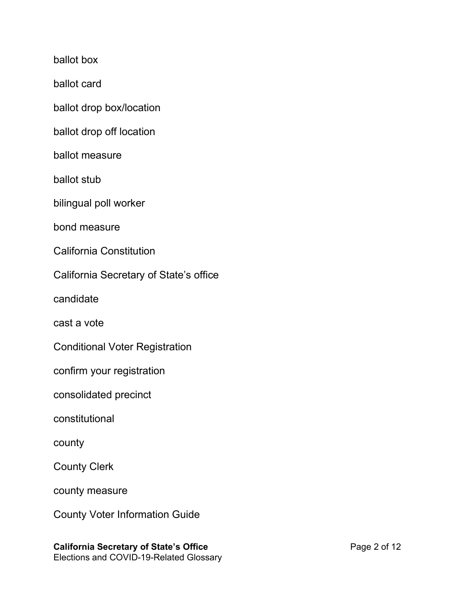ballot box

ballot card

ballot drop box/location

ballot drop off location

ballot measure

ballot stub

bilingual poll worker

bond measure

California Constitution

California Secretary of State's office

candidate

cast a vote

Conditional Voter Registration

confirm your registration

consolidated precinct

constitutional

county

County Clerk

county measure

County Voter Information Guide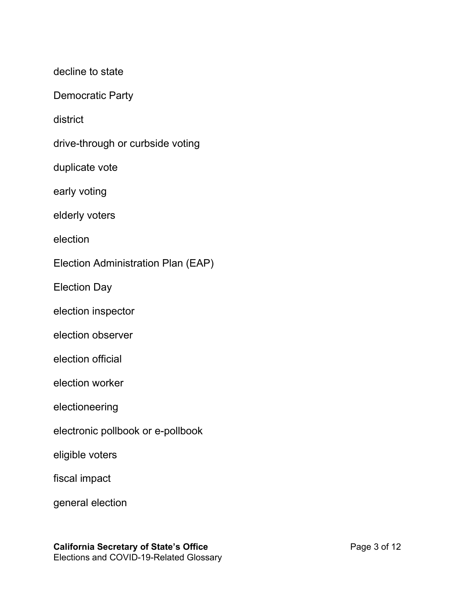decline to state Democratic Party district drive-through or curbside voting duplicate vote early voting elderly voters election

Election Administration Plan (EAP)

Election Day

election inspector

election observer

election official

election worker

electioneering

electronic pollbook or e-pollbook

eligible voters

fiscal impact

general election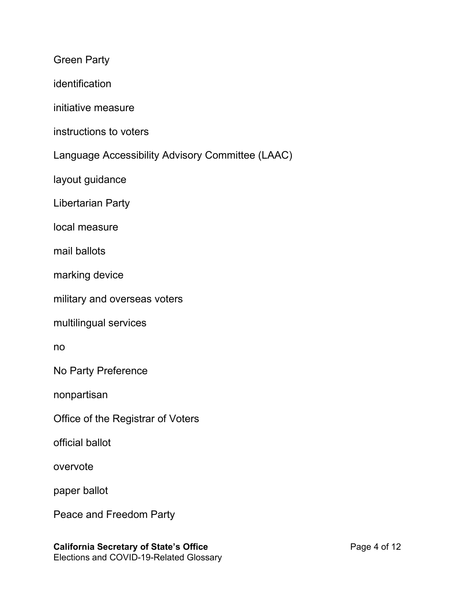Green Party

identification

initiative measure

instructions to voters

Language Accessibility Advisory Committee (LAAC)

layout guidance

Libertarian Party

local measure

mail ballots

marking device

military and overseas voters

multilingual services

no

No Party Preference

nonpartisan

Office of the Registrar of Voters

official ballot

overvote

paper ballot

Peace and Freedom Party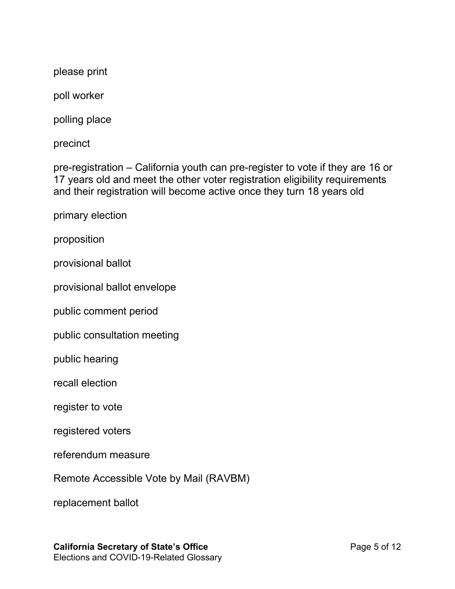please print

poll worker

polling place

precinct

pre-registration – California youth can pre-register to vote if they are 16 or 17 years old and meet the other voter registration eligibility requirements and their registration will become active once they turn 18 years old

primary election

proposition

provisional ballot

provisional ballot envelope

public comment period

public consultation meeting

public hearing

recall election

register to vote

registered voters

referendum measure

Remote Accessible Vote by Mail (RAVBM)

replacement ballot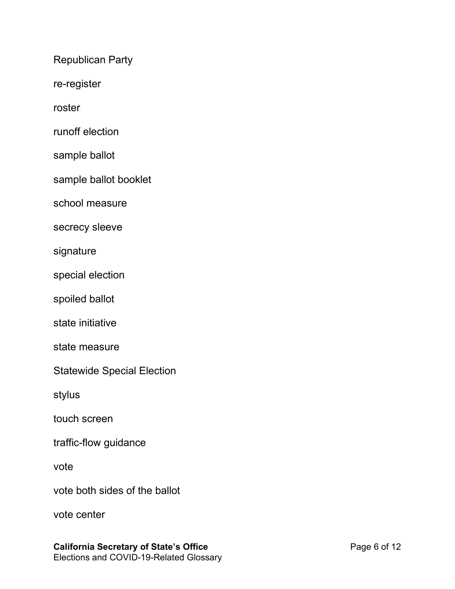Republican Party

re-register

roster

runoff election

sample ballot

sample ballot booklet

school measure

secrecy sleeve

signature

special election

spoiled ballot

state initiative

state measure

Statewide Special Election

stylus

touch screen

traffic-flow guidance

vote

vote both sides of the ballot

vote center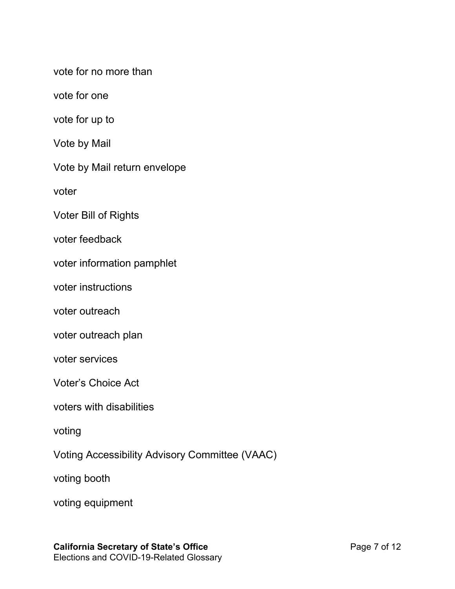vote for no more than

vote for one

vote for up to

Vote by Mail

Vote by Mail return envelope

voter

Voter Bill of Rights

voter feedback

voter information pamphlet

voter instructions

voter outreach

voter outreach plan

voter services

Voter's Choice Act

voters with disabilities

voting

Voting Accessibility Advisory Committee (VAAC)

voting booth

voting equipment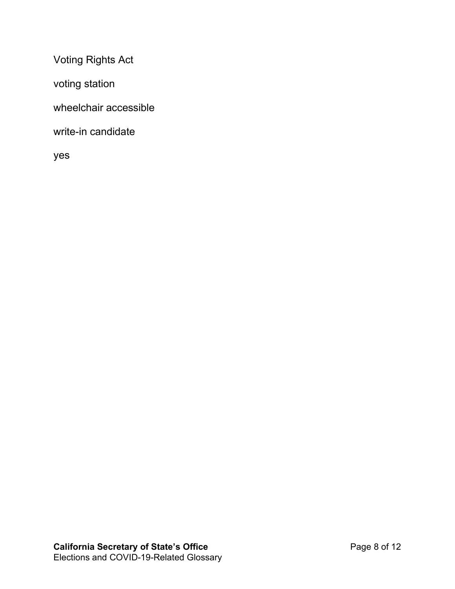Voting Rights Act

voting station

wheelchair accessible

write-in candidate

yes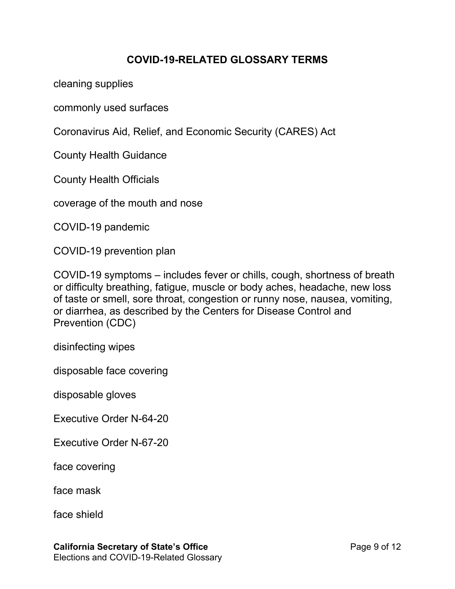## **COVID-19-RELATED GLOSSARY TERMS**

cleaning supplies

commonly used surfaces

Coronavirus Aid, Relief, and Economic Security (CARES) Act

County Health Guidance

County Health Officials

coverage of the mouth and nose

COVID-19 pandemic

COVID-19 prevention plan

COVID-19 symptoms – includes fever or chills, cough, shortness of breath or difficulty breathing, fatigue, muscle or body aches, headache, new loss of taste or smell, sore throat, congestion or runny nose, nausea, vomiting, or diarrhea, as described by the Centers for Disease Control and Prevention (CDC)

disinfecting wipes

disposable face covering

disposable gloves

Executive Order N-64-20

Executive Order N-67-20

face covering

face mask

face shield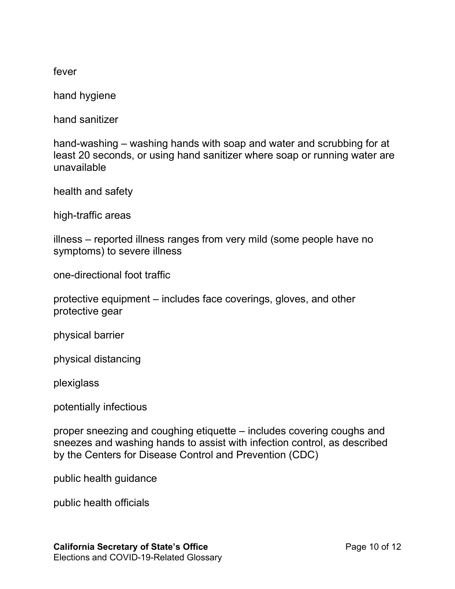fever

hand hygiene

hand sanitizer

hand-washing – washing hands with soap and water and scrubbing for at least 20 seconds, or using hand sanitizer where soap or running water are unavailable

health and safety

high-traffic areas

illness – reported illness ranges from very mild (some people have no symptoms) to severe illness

one-directional foot traffic

protective equipment – includes face coverings, gloves, and other protective gear

physical barrier

physical distancing

plexiglass

potentially infectious

proper sneezing and coughing etiquette – includes covering coughs and sneezes and washing hands to assist with infection control, as described by the Centers for Disease Control and Prevention (CDC)

public health guidance

public health officials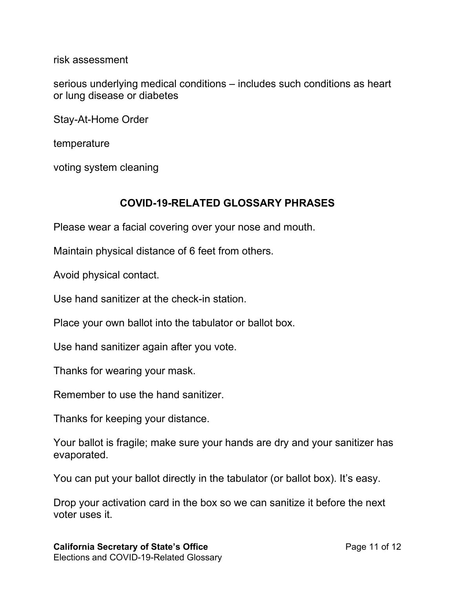risk assessment

serious underlying medical conditions – includes such conditions as heart or lung disease or diabetes

Stay-At-Home Order

temperature

voting system cleaning

## **COVID-19-RELATED GLOSSARY PHRASES**

Please wear a facial covering over your nose and mouth.

Maintain physical distance of 6 feet from others.

Avoid physical contact.

Use hand sanitizer at the check-in station.

Place your own ballot into the tabulator or ballot box.

Use hand sanitizer again after you vote.

Thanks for wearing your mask.

Remember to use the hand sanitizer.

Thanks for keeping your distance.

Your ballot is fragile; make sure your hands are dry and your sanitizer has evaporated.

You can put your ballot directly in the tabulator (or ballot box). It's easy.

Drop your activation card in the box so we can sanitize it before the next voter uses it.